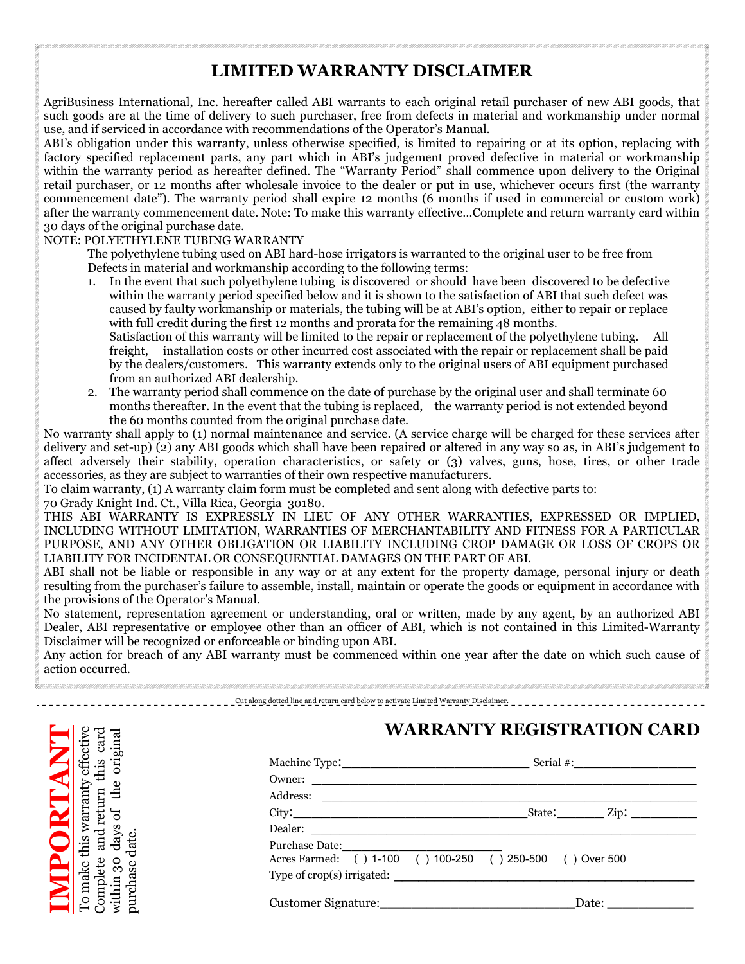## LIMITED WARRANTY DISCLAIMER

AgriBusiness International, Inc. hereafter called ABI warrants to each original retail purchaser of new ABI goods, that such goods are at the time of delivery to such purchaser, free from defects in material and workmanship under normal use, and if serviced in accordance with recommendations of the Operator's Manual.

ABI's obligation under this warranty, unless otherwise specified, is limited to repairing or at its option, replacing with factory specified replacement parts, any part which in ABI's judgement proved defective in material or workmanship within the warranty period as hereafter defined. The "Warranty Period" shall commence upon delivery to the Original retail purchaser, or 12 months after wholesale invoice to the dealer or put in use, whichever occurs first (the warranty commencement date"). The warranty period shall expire 12 months (6 months if used in commercial or custom work) after the warranty commencement date. Note: To make this warranty effective…Complete and return warranty card within 30 days of the original purchase date.

### NOTE: POLYETHYLENE TUBING WARRANTY

The polyethylene tubing used on ABI hard-hose irrigators is warranted to the original user to be free from Defects in material and workmanship according to the following terms:

- 1. In the event that such polyethylene tubing is discovered or should have been discovered to be defective within the warranty period specified below and it is shown to the satisfaction of ABI that such defect was caused by faulty workmanship or materials, the tubing will be at ABI's option, either to repair or replace with full credit during the first 12 months and prorata for the remaining 48 months. Satisfaction of this warranty will be limited to the repair or replacement of the polyethylene tubing. All freight, installation costs or other incurred cost associated with the repair or replacement shall be paid by the dealers/customers. This warranty extends only to the original users of ABI equipment purchased
- from an authorized ABI dealership. 2. The warranty period shall commence on the date of purchase by the original user and shall terminate 60 months thereafter. In the event that the tubing is replaced, the warranty period is not extended beyond the 60 months counted from the original purchase date.

No warranty shall apply to (1) normal maintenance and service. (A service charge will be charged for these services after delivery and set-up) (2) any ABI goods which shall have been repaired or altered in any way so as, in ABI's judgement to affect adversely their stability, operation characteristics, or safety or (3) valves, guns, hose, tires, or other trade accessories, as they are subject to warranties of their own respective manufacturers.

To claim warranty, (1) A warranty claim form must be completed and sent along with defective parts to:

70 Grady Knight Ind. Ct., Villa Rica, Georgia 30180.

THIS ABI WARRANTY IS EXPRESSLY IN LIEU OF ANY OTHER WARRANTIES, EXPRESSED OR IMPLIED, INCLUDING WITHOUT LIMITATION, WARRANTIES OF MERCHANTABILITY AND FITNESS FOR A PARTICULAR PURPOSE, AND ANY OTHER OBLIGATION OR LIABILITY INCLUDING CROP DAMAGE OR LOSS OF CROPS OR LIABILITY FOR INCIDENTAL OR CONSEQUENTIAL DAMAGES ON THE PART OF ABI.

ABI shall not be liable or responsible in any way or at any extent for the property damage, personal injury or death resulting from the purchaser's failure to assemble, install, maintain or operate the goods or equipment in accordance with the provisions of the Operator's Manual.

No statement, representation agreement or understanding, oral or written, made by any agent, by an authorized ABI Dealer, ABI representative or employee other than an officer of ABI, which is not contained in this Limited-Warranty Disclaimer will be recognized or enforceable or binding upon ABI.

Any action for breach of any ABI warranty must be commenced within one year after the date on which such cause of action occurred.

#### Cut along dotted line and return card below to activate Limited Warranty Disclaimer.



# WARRANTY REGISTRATION CARD

|                                                                                                                 |  |  |  | State: <u>Zip:</u>    |  |
|-----------------------------------------------------------------------------------------------------------------|--|--|--|-----------------------|--|
| Dealer: New York Street, New York Street, New York Street, New York Street, New York Street, New York Street, N |  |  |  |                       |  |
|                                                                                                                 |  |  |  |                       |  |
| Acres Farmed: () 1-100 () 100-250 () 250-500 () Over 500                                                        |  |  |  |                       |  |
|                                                                                                                 |  |  |  |                       |  |
|                                                                                                                 |  |  |  | Date: $\qquad \qquad$ |  |